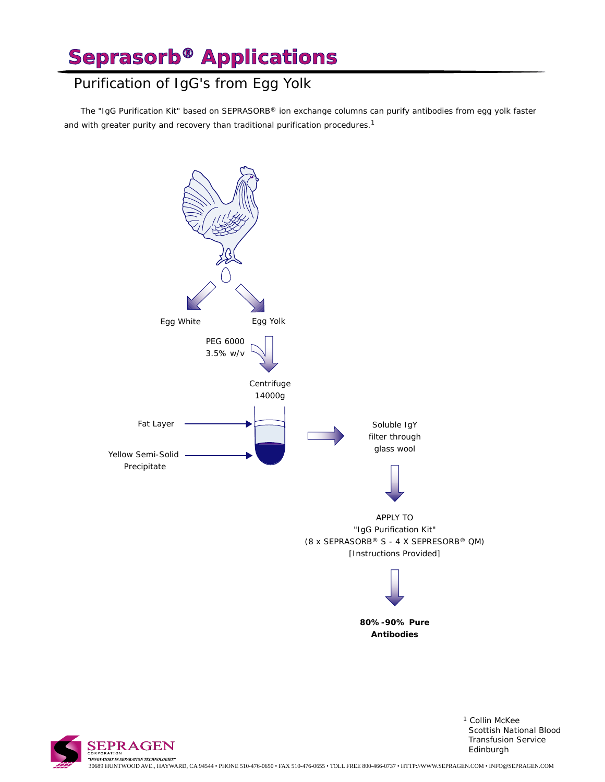## Purification of IgG's from Egg Yolk

 The "IgG Purification Kit" based on SEPRASORB® ion exchange columns can purify antibodies from egg yolk faster and with greater purity and recovery than traditional purification procedures.<sup>1</sup>





1 Collin McKee Scottish National Blood Transfusion Service Edinburgh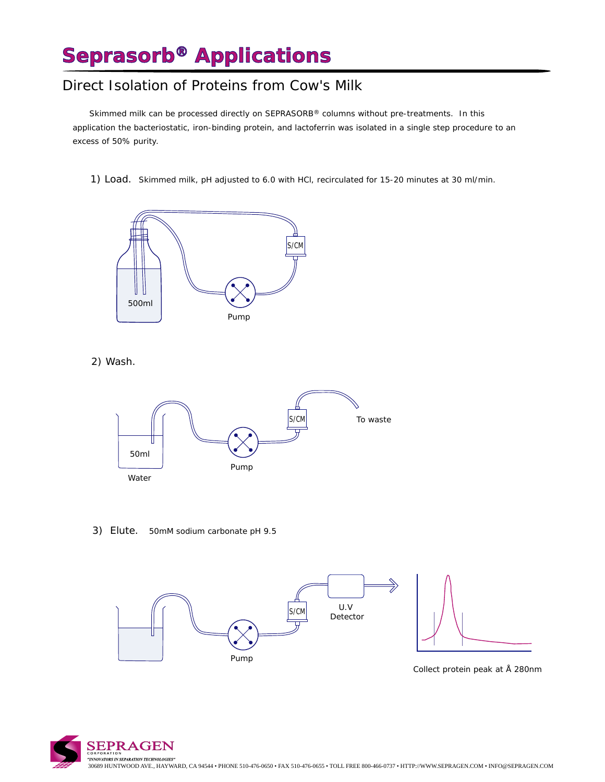#### Direct Isolation of Proteins from Cow's Milk

 Skimmed milk can be processed directly on SEPRASORB® columns without pre-treatments. In this application the bacteriostatic, iron-binding protein, and lactoferrin was isolated in a single step procedure to an excess of 50% purity.

1) Load. Skimmed milk, pH adjusted to 6.0 with HCl, recirculated for 15-20 minutes at 30 ml/min.



2) Wash.



3) Elute. 50mM sodium carbonate pH 9.5



Collect protein peak at Å 280nm

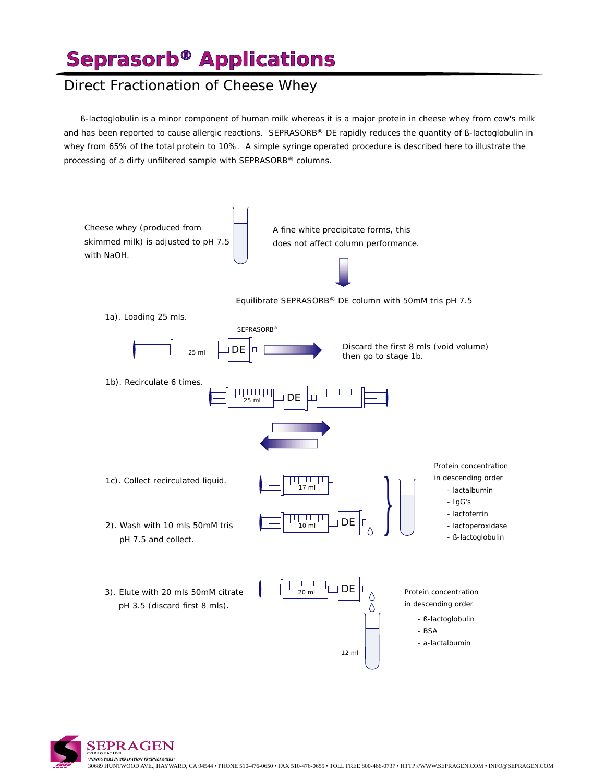# **Seprasorb® Applications**

### Direct Fractionation of Cheese Whey

 *ß-lactoglobulin* is a minor component of human milk whereas it is a major protein in cheese whey from cow's milk and has been reported to cause allergic reactions. SEPRASORB® DE rapidly reduces the quantity of *ß-lactoglobulin* in whey from 65% of the total protein to 10%. A simple syringe operated procedure is described here to illustrate the processing of a dirty unfiltered sample with SEPRASORB® columns.